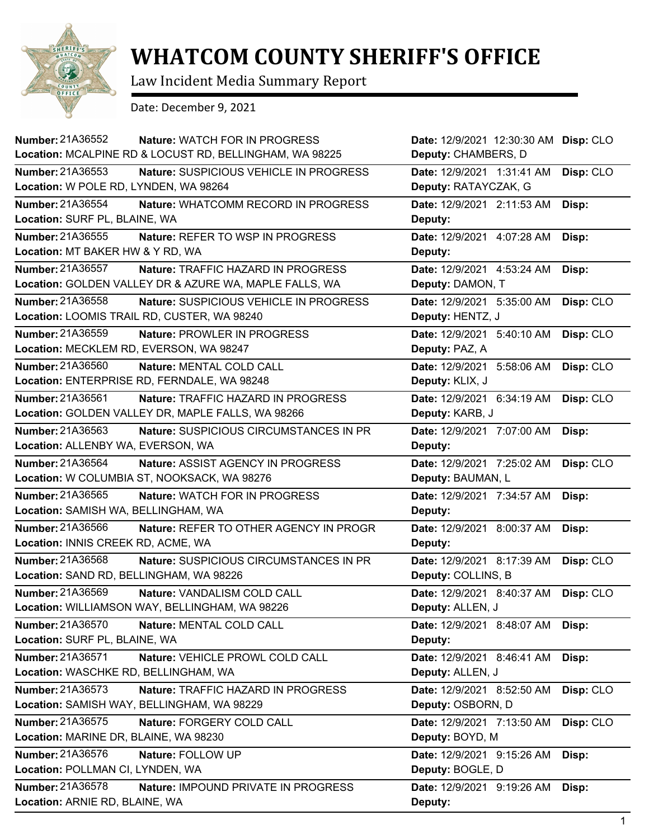

## **WHATCOM COUNTY SHERIFF'S OFFICE**

Law Incident Media Summary Report

Date: December 9, 2021

| <b>Number: 21A36552</b>                 | <b>Nature: WATCH FOR IN PROGRESS</b>                    | Date: 12/9/2021 12:30:30 AM | Disp: CLO |
|-----------------------------------------|---------------------------------------------------------|-----------------------------|-----------|
|                                         | Location: MCALPINE RD & LOCUST RD, BELLINGHAM, WA 98225 | Deputy: CHAMBERS, D         |           |
| <b>Number: 21A36553</b>                 | Nature: SUSPICIOUS VEHICLE IN PROGRESS                  | Date: 12/9/2021 1:31:41 AM  | Disp: CLO |
| Location: W POLE RD, LYNDEN, WA 98264   |                                                         | Deputy: RATAYCZAK, G        |           |
| Number: 21A36554                        | Nature: WHATCOMM RECORD IN PROGRESS                     | Date: 12/9/2021 2:11:53 AM  | Disp:     |
| Location: SURF PL, BLAINE, WA           |                                                         | Deputy:                     |           |
| Number: 21A36555                        | Nature: REFER TO WSP IN PROGRESS                        | Date: 12/9/2021 4:07:28 AM  | Disp:     |
| Location: MT BAKER HW & Y RD, WA        |                                                         | Deputy:                     |           |
| Number: 21A36557                        | Nature: TRAFFIC HAZARD IN PROGRESS                      | Date: 12/9/2021 4:53:24 AM  | Disp:     |
|                                         | Location: GOLDEN VALLEY DR & AZURE WA, MAPLE FALLS, WA  | Deputy: DAMON, T            |           |
| Number: 21A36558                        | Nature: SUSPICIOUS VEHICLE IN PROGRESS                  | Date: 12/9/2021 5:35:00 AM  | Disp: CLO |
|                                         | Location: LOOMIS TRAIL RD, CUSTER, WA 98240             | Deputy: HENTZ, J            |           |
| <b>Number: 21A36559</b>                 | Nature: PROWLER IN PROGRESS                             | Date: 12/9/2021 5:40:10 AM  | Disp: CLO |
| Location: MECKLEM RD, EVERSON, WA 98247 |                                                         | Deputy: PAZ, A              |           |
| Number: 21A36560                        | Nature: MENTAL COLD CALL                                | Date: 12/9/2021 5:58:06 AM  | Disp: CLO |
|                                         | Location: ENTERPRISE RD, FERNDALE, WA 98248             | Deputy: KLIX, J             |           |
| Number: 21A36561                        | <b>Nature: TRAFFIC HAZARD IN PROGRESS</b>               | Date: 12/9/2021 6:34:19 AM  | Disp: CLO |
|                                         | Location: GOLDEN VALLEY DR, MAPLE FALLS, WA 98266       | Deputy: KARB, J             |           |
| Number: 21A36563                        | Nature: SUSPICIOUS CIRCUMSTANCES IN PR                  | Date: 12/9/2021 7:07:00 AM  | Disp:     |
| Location: ALLENBY WA, EVERSON, WA       |                                                         | Deputy:                     |           |
| Number: 21A36564                        | Nature: ASSIST AGENCY IN PROGRESS                       | Date: 12/9/2021 7:25:02 AM  | Disp: CLO |
|                                         | Location: W COLUMBIA ST, NOOKSACK, WA 98276             | Deputy: BAUMAN, L           |           |
| <b>Number: 21A36565</b>                 | Nature: WATCH FOR IN PROGRESS                           | Date: 12/9/2021 7:34:57 AM  | Disp:     |
| Location: SAMISH WA, BELLINGHAM, WA     |                                                         | Deputy:                     |           |
| Number: 21A36566                        | Nature: REFER TO OTHER AGENCY IN PROGR                  | Date: 12/9/2021 8:00:37 AM  | Disp:     |
| Location: INNIS CREEK RD, ACME, WA      |                                                         | Deputy:                     |           |
| <b>Number: 21A36568</b>                 | Nature: SUSPICIOUS CIRCUMSTANCES IN PR                  | Date: 12/9/2021 8:17:39 AM  | Disp: CLO |
| Location: SAND RD, BELLINGHAM, WA 98226 |                                                         | Deputy: COLLINS, B          |           |
| <b>Number: 21A36569</b>                 | Nature: VANDALISM COLD CALL                             | Date: 12/9/2021 8:40:37 AM  | Disp: CLO |
|                                         | Location: WILLIAMSON WAY, BELLINGHAM, WA 98226          | Deputy: ALLEN, J            |           |
| Number: 21A36570                        | Nature: MENTAL COLD CALL                                | Date: 12/9/2021 8:48:07 AM  | Disp:     |
| Location: SURF PL, BLAINE, WA           |                                                         | Deputy:                     |           |
| Number: 21A36571                        | Nature: VEHICLE PROWL COLD CALL                         | Date: 12/9/2021 8:46:41 AM  | Disp:     |
| Location: WASCHKE RD, BELLINGHAM, WA    |                                                         | Deputy: ALLEN, J            |           |
| Number: 21A36573                        | Nature: TRAFFIC HAZARD IN PROGRESS                      | Date: 12/9/2021 8:52:50 AM  | Disp: CLO |
|                                         | Location: SAMISH WAY, BELLINGHAM, WA 98229              | Deputy: OSBORN, D           |           |
| Number: 21A36575                        | Nature: FORGERY COLD CALL                               | Date: 12/9/2021 7:13:50 AM  | Disp: CLO |
| Location: MARINE DR, BLAINE, WA 98230   |                                                         | Deputy: BOYD, M             |           |
| Number: 21A36576                        | Nature: FOLLOW UP                                       | Date: 12/9/2021 9:15:26 AM  | Disp:     |
| Location: POLLMAN CI, LYNDEN, WA        |                                                         | Deputy: BOGLE, D            |           |
| Number: 21A36578                        | Nature: IMPOUND PRIVATE IN PROGRESS                     | Date: 12/9/2021 9:19:26 AM  | Disp:     |
| Location: ARNIE RD, BLAINE, WA          |                                                         | Deputy:                     |           |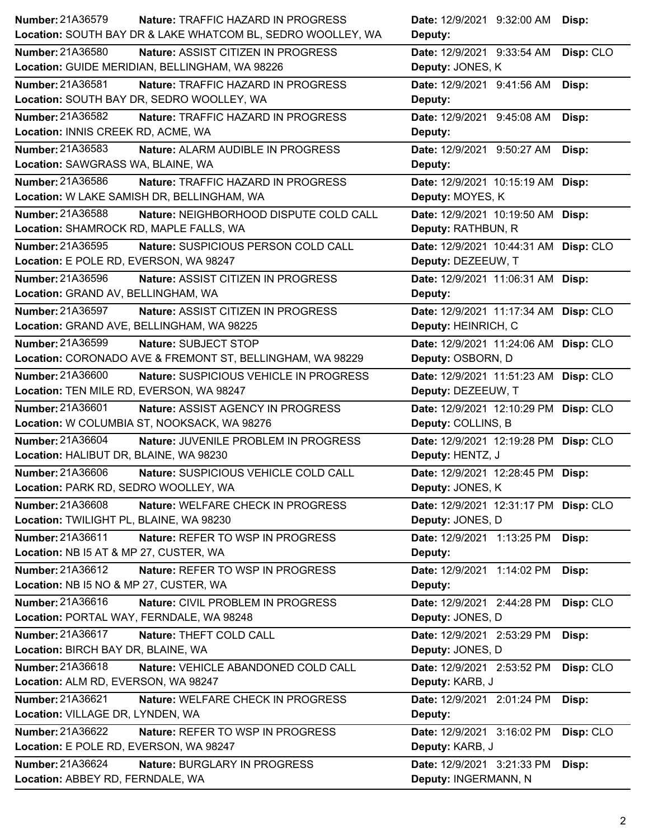| Number: 21A36579                          | <b>Nature: TRAFFIC HAZARD IN PROGRESS</b>                   | Date: 12/9/2021 9:32:00 AM Disp:      |           |
|-------------------------------------------|-------------------------------------------------------------|---------------------------------------|-----------|
|                                           | Location: SOUTH BAY DR & LAKE WHATCOM BL, SEDRO WOOLLEY, WA | Deputy:                               |           |
| Number: 21A36580                          | Nature: ASSIST CITIZEN IN PROGRESS                          | Date: 12/9/2021 9:33:54 AM            | Disp: CLO |
|                                           | Location: GUIDE MERIDIAN, BELLINGHAM, WA 98226              | Deputy: JONES, K                      |           |
| Number: 21A36581                          | Nature: TRAFFIC HAZARD IN PROGRESS                          | Date: 12/9/2021 9:41:56 AM Disp:      |           |
|                                           | Location: SOUTH BAY DR, SEDRO WOOLLEY, WA                   | Deputy:                               |           |
| Number: 21A36582                          | Nature: TRAFFIC HAZARD IN PROGRESS                          | Date: 12/9/2021 9:45:08 AM            | Disp:     |
| Location: INNIS CREEK RD, ACME, WA        |                                                             | Deputy:                               |           |
| Number: 21A36583                          | Nature: ALARM AUDIBLE IN PROGRESS                           | Date: 12/9/2021 9:50:27 AM Disp:      |           |
| Location: SAWGRASS WA, BLAINE, WA         |                                                             | Deputy:                               |           |
| Number: 21A36586                          | Nature: TRAFFIC HAZARD IN PROGRESS                          | Date: 12/9/2021 10:15:19 AM Disp:     |           |
|                                           | Location: W LAKE SAMISH DR, BELLINGHAM, WA                  | Deputy: MOYES, K                      |           |
| Number: 21A36588                          | Nature: NEIGHBORHOOD DISPUTE COLD CALL                      | Date: 12/9/2021 10:19:50 AM Disp:     |           |
| Location: SHAMROCK RD, MAPLE FALLS, WA    |                                                             | Deputy: RATHBUN, R                    |           |
| Number: 21A36595                          | Nature: SUSPICIOUS PERSON COLD CALL                         | Date: 12/9/2021 10:44:31 AM Disp: CLO |           |
| Location: E POLE RD, EVERSON, WA 98247    |                                                             | Deputy: DEZEEUW, T                    |           |
| Number: 21A36596                          | Nature: ASSIST CITIZEN IN PROGRESS                          | Date: 12/9/2021 11:06:31 AM Disp:     |           |
| Location: GRAND AV, BELLINGHAM, WA        |                                                             | Deputy:                               |           |
| Number: 21A36597                          | Nature: ASSIST CITIZEN IN PROGRESS                          | Date: 12/9/2021 11:17:34 AM Disp: CLO |           |
| Location: GRAND AVE, BELLINGHAM, WA 98225 |                                                             | Deputy: HEINRICH, C                   |           |
| Number: 21A36599                          | Nature: SUBJECT STOP                                        | Date: 12/9/2021 11:24:06 AM Disp: CLO |           |
|                                           | Location: CORONADO AVE & FREMONT ST, BELLINGHAM, WA 98229   | Deputy: OSBORN, D                     |           |
| Number: 21A36600                          | Nature: SUSPICIOUS VEHICLE IN PROGRESS                      | Date: 12/9/2021 11:51:23 AM Disp: CLO |           |
| Location: TEN MILE RD, EVERSON, WA 98247  |                                                             | Deputy: DEZEEUW, T                    |           |
| Number: 21A36601                          | Nature: ASSIST AGENCY IN PROGRESS                           | Date: 12/9/2021 12:10:29 PM Disp: CLO |           |
|                                           |                                                             |                                       |           |
|                                           | Location: W COLUMBIA ST, NOOKSACK, WA 98276                 | Deputy: COLLINS, B                    |           |
| Number: 21A36604                          | Nature: JUVENILE PROBLEM IN PROGRESS                        | Date: 12/9/2021 12:19:28 PM Disp: CLO |           |
| Location: HALIBUT DR, BLAINE, WA 98230    |                                                             | Deputy: HENTZ, J                      |           |
| Number: 21A36606                          | Nature: SUSPICIOUS VEHICLE COLD CALL                        | Date: 12/9/2021 12:28:45 PM Disp:     |           |
| Location: PARK RD, SEDRO WOOLLEY, WA      |                                                             | Deputy: JONES, K                      |           |
| <b>Number: 21A36608</b>                   | Nature: WELFARE CHECK IN PROGRESS                           | Date: 12/9/2021 12:31:17 PM Disp: CLO |           |
| Location: TWILIGHT PL, BLAINE, WA 98230   |                                                             | Deputy: JONES, D                      |           |
| Number: 21A36611                          | Nature: REFER TO WSP IN PROGRESS                            | Date: 12/9/2021 1:13:25 PM            | Disp:     |
| Location: NB I5 AT & MP 27, CUSTER, WA    |                                                             | Deputy:                               |           |
| Number: 21A36612                          | Nature: REFER TO WSP IN PROGRESS                            | Date: 12/9/2021 1:14:02 PM            | Disp:     |
| Location: NB I5 NO & MP 27, CUSTER, WA    |                                                             | Deputy:                               |           |
| Number: 21A36616                          | Nature: CIVIL PROBLEM IN PROGRESS                           | Date: 12/9/2021 2:44:28 PM            | Disp: CLO |
| Location: PORTAL WAY, FERNDALE, WA 98248  |                                                             | Deputy: JONES, D                      |           |
| Number: 21A36617                          | Nature: THEFT COLD CALL                                     | Date: 12/9/2021 2:53:29 PM            | Disp:     |
| Location: BIRCH BAY DR, BLAINE, WA        |                                                             | Deputy: JONES, D                      |           |
| Number: 21A36618                          | Nature: VEHICLE ABANDONED COLD CALL                         | Date: 12/9/2021 2:53:52 PM            | Disp: CLO |
| Location: ALM RD, EVERSON, WA 98247       |                                                             | Deputy: KARB, J                       |           |
| Number: 21A36621                          | Nature: WELFARE CHECK IN PROGRESS                           | Date: 12/9/2021 2:01:24 PM            | Disp:     |
| Location: VILLAGE DR, LYNDEN, WA          |                                                             | Deputy:                               |           |
| <b>Number: 21A36622</b>                   | <b>Nature: REFER TO WSP IN PROGRESS</b>                     | Date: 12/9/2021 3:16:02 PM            | Disp: CLO |
| Location: E POLE RD, EVERSON, WA 98247    |                                                             | Deputy: KARB, J                       |           |
| Number: 21A36624                          | Nature: BURGLARY IN PROGRESS                                | Date: 12/9/2021 3:21:33 PM            | Disp:     |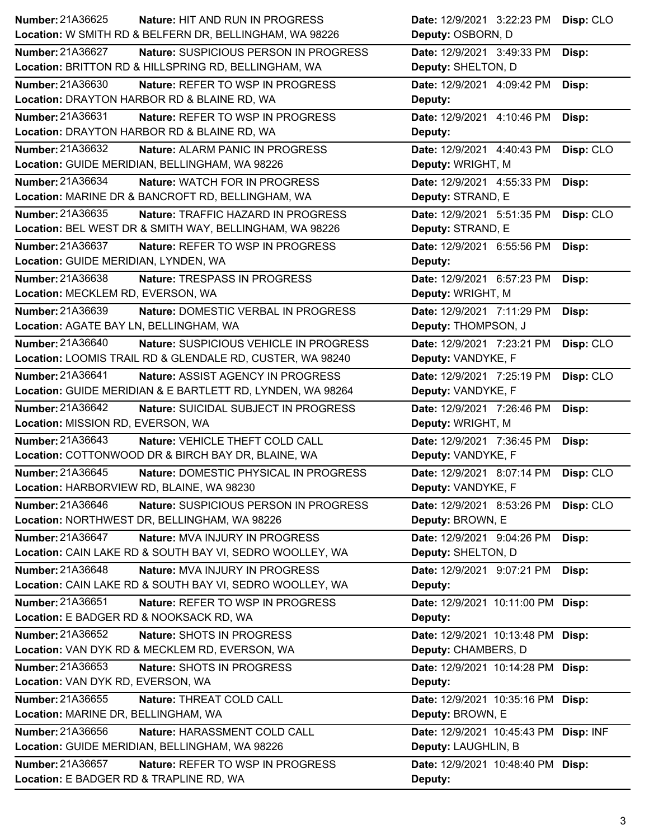| Number: 21A36625<br><b>Nature: HIT AND RUN IN PROGRESS</b>        | Date: 12/9/2021 3:22:23 PM<br>Disp: CLO |
|-------------------------------------------------------------------|-----------------------------------------|
| Location: W SMITH RD & BELFERN DR, BELLINGHAM, WA 98226           | Deputy: OSBORN, D                       |
| Number: 21A36627<br><b>Nature: SUSPICIOUS PERSON IN PROGRESS</b>  | Date: 12/9/2021 3:49:33 PM<br>Disp:     |
| Location: BRITTON RD & HILLSPRING RD, BELLINGHAM, WA              | Deputy: SHELTON, D                      |
| Number: 21A36630<br>Nature: REFER TO WSP IN PROGRESS              | Date: 12/9/2021 4:09:42 PM<br>Disp:     |
| Location: DRAYTON HARBOR RD & BLAINE RD, WA                       | Deputy:                                 |
| Number: 21A36631<br><b>Nature: REFER TO WSP IN PROGRESS</b>       | Date: 12/9/2021 4:10:46 PM<br>Disp:     |
| Location: DRAYTON HARBOR RD & BLAINE RD, WA                       | Deputy:                                 |
| Number: 21A36632<br>Nature: ALARM PANIC IN PROGRESS               | Date: 12/9/2021 4:40:43 PM<br>Disp: CLO |
| Location: GUIDE MERIDIAN, BELLINGHAM, WA 98226                    | Deputy: WRIGHT, M                       |
| Number: 21A36634<br>Nature: WATCH FOR IN PROGRESS                 | Date: 12/9/2021 4:55:33 PM<br>Disp:     |
| Location: MARINE DR & BANCROFT RD, BELLINGHAM, WA                 | Deputy: STRAND, E                       |
| Number: 21A36635<br>Nature: TRAFFIC HAZARD IN PROGRESS            | Date: 12/9/2021 5:51:35 PM<br>Disp: CLO |
| Location: BEL WEST DR & SMITH WAY, BELLINGHAM, WA 98226           | Deputy: STRAND, E                       |
| Number: 21A36637<br>Nature: REFER TO WSP IN PROGRESS              | Date: 12/9/2021 6:55:56 PM<br>Disp:     |
| Location: GUIDE MERIDIAN, LYNDEN, WA                              | Deputy:                                 |
| <b>Number: 21A36638</b><br>Nature: TRESPASS IN PROGRESS           | Date: 12/9/2021 6:57:23 PM<br>Disp:     |
| Location: MECKLEM RD, EVERSON, WA                                 | Deputy: WRIGHT, M                       |
| Number: 21A36639<br>Nature: DOMESTIC VERBAL IN PROGRESS           | Date: 12/9/2021 7:11:29 PM<br>Disp:     |
| Location: AGATE BAY LN, BELLINGHAM, WA                            | Deputy: THOMPSON, J                     |
| <b>Number: 21A36640</b><br>Nature: SUSPICIOUS VEHICLE IN PROGRESS | Date: 12/9/2021 7:23:21 PM<br>Disp: CLO |
| Location: LOOMIS TRAIL RD & GLENDALE RD, CUSTER, WA 98240         | Deputy: VANDYKE, F                      |
| Number: 21A36641<br>Nature: ASSIST AGENCY IN PROGRESS             | Disp: CLO<br>Date: 12/9/2021 7:25:19 PM |
| Location: GUIDE MERIDIAN & E BARTLETT RD, LYNDEN, WA 98264        | Deputy: VANDYKE, F                      |
|                                                                   |                                         |
| <b>Number: 21A36642</b><br>Nature: SUICIDAL SUBJECT IN PROGRESS   | Date: 12/9/2021 7:26:46 PM<br>Disp:     |
| Location: MISSION RD, EVERSON, WA                                 | Deputy: WRIGHT, M                       |
| Number: 21A36643<br>Nature: VEHICLE THEFT COLD CALL               | Date: 12/9/2021 7:36:45 PM<br>Disp:     |
| Location: COTTONWOOD DR & BIRCH BAY DR, BLAINE, WA                | Deputy: VANDYKE, F                      |
| Number: 21A36645<br>Nature: DOMESTIC PHYSICAL IN PROGRESS         | Date: 12/9/2021 8:07:14 PM<br>Disp: CLO |
| Location: HARBORVIEW RD, BLAINE, WA 98230                         | Deputy: VANDYKE, F                      |
| <b>Number: 21A36646</b><br>Nature: SUSPICIOUS PERSON IN PROGRESS  | Date: 12/9/2021 8:53:26 PM<br>Disp: CLO |
| Location: NORTHWEST DR, BELLINGHAM, WA 98226                      | Deputy: BROWN, E                        |
| Number: 21A36647<br>Nature: MVA INJURY IN PROGRESS                | Date: 12/9/2021 9:04:26 PM<br>Disp:     |
| Location: CAIN LAKE RD & SOUTH BAY VI, SEDRO WOOLLEY, WA          | Deputy: SHELTON, D                      |
| Number: 21A36648<br>Nature: MVA INJURY IN PROGRESS                | Date: 12/9/2021 9:07:21 PM<br>Disp:     |
| Location: CAIN LAKE RD & SOUTH BAY VI, SEDRO WOOLLEY, WA          | Deputy:                                 |
| Number: 21A36651<br>Nature: REFER TO WSP IN PROGRESS              | Date: 12/9/2021 10:11:00 PM Disp:       |
| Location: E BADGER RD & NOOKSACK RD, WA                           | Deputy:                                 |
| Number: 21A36652<br>Nature: SHOTS IN PROGRESS                     | Date: 12/9/2021 10:13:48 PM Disp:       |
| Location: VAN DYK RD & MECKLEM RD, EVERSON, WA                    | Deputy: CHAMBERS, D                     |
| Number: 21A36653<br>Nature: SHOTS IN PROGRESS                     | Date: 12/9/2021 10:14:28 PM Disp:       |
| Location: VAN DYK RD, EVERSON, WA                                 | Deputy:                                 |
| Number: 21A36655<br>Nature: THREAT COLD CALL                      | Date: 12/9/2021 10:35:16 PM Disp:       |
| Location: MARINE DR, BELLINGHAM, WA                               | Deputy: BROWN, E                        |
| Number: 21A36656<br>Nature: HARASSMENT COLD CALL                  | Date: 12/9/2021 10:45:43 PM Disp: INF   |
| Location: GUIDE MERIDIAN, BELLINGHAM, WA 98226                    | Deputy: LAUGHLIN, B                     |
| Number: 21A36657<br>Nature: REFER TO WSP IN PROGRESS              | Date: 12/9/2021 10:48:40 PM Disp:       |